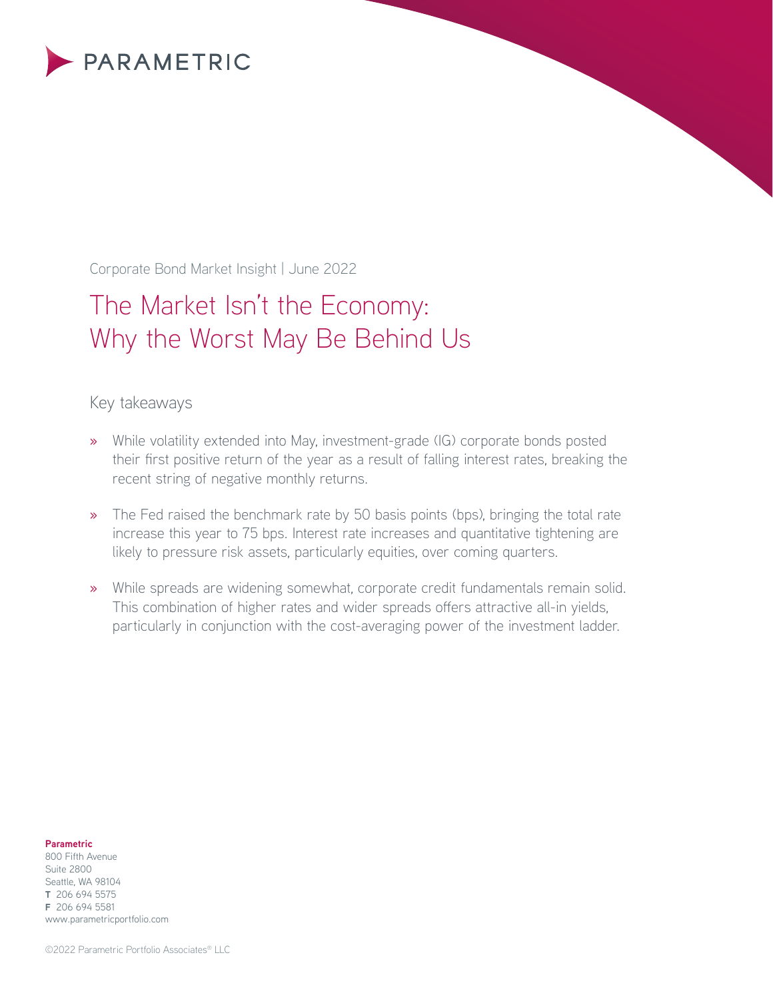

Corporate Bond Market Insight | June 2022

# The Market Isn't the Economy: Why the Worst May Be Behind Us

## Key takeaways

- » While volatility extended into May, investment-grade (IG) corporate bonds posted their first positive return of the year as a result of falling interest rates, breaking the recent string of negative monthly returns.
- » The Fed raised the benchmark rate by 50 basis points (bps), bringing the total rate increase this year to 75 bps. Interest rate increases and quantitative tightening are likely to pressure risk assets, particularly equities, over coming quarters.
- » While spreads are widening somewhat, corporate credit fundamentals remain solid. This combination of higher rates and wider spreads offers attractive all-in yields, particularly in conjunction with the cost-averaging power of the investment ladder.

#### **Parametric**

800 Fifth Avenue Suite 2800 Seattle, WA 98104 **T** 206 694 5575 **F** 206 694 5581 www.parametricportfolio.com

©2022 Parametric Portfolio Associates® LLC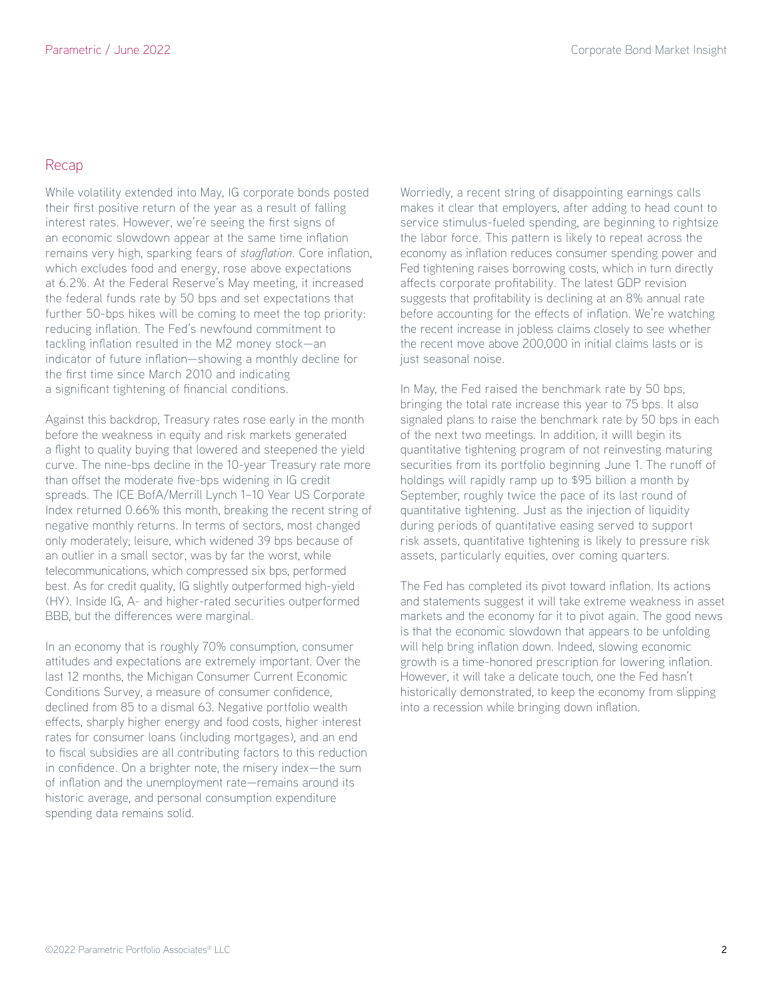## Recap

While volatility extended into May, IG corporate bonds posted their first positive return of the year as a result of falling interest rates. However, we're seeing the first signs of an economic slowdown appear at the same time inflation remains very high, sparking fears of *stagflation*. Core inflation, which excludes food and energy, rose above expectations at 6.2%. At the Federal Reserve's May meeting, it increased the federal funds rate by 50 bps and set expectations that further 50-bps hikes will be coming to meet the top priority: reducing inflation. The Fed's newfound commitment to tackling inflation resulted in the M2 money stock—an indicator of future inflation—showing a monthly decline for the first time since March 2010 and indicating a significant tightening of financial conditions.

Against this backdrop, Treasury rates rose early in the month before the weakness in equity and risk markets generated a flight to quality buying that lowered and steepened the yield curve. The nine-bps decline in the 10-year Treasury rate more than offset the moderate five-bps widening in IG credit spreads. The ICE BofA/Merrill Lynch 1–10 Year US Corporate Index returned 0.66% this month, breaking the recent string of negative monthly returns. In terms of sectors, most changed only moderately; leisure, which widened 39 bps because of an outlier in a small sector, was by far the worst, while telecommunications, which compressed six bps, performed best. As for credit quality, IG slightly outperformed high-yield (HY). Inside IG, A- and higher-rated securities outperformed BBB, but the differences were marginal.

In an economy that is roughly 70% consumption, consumer attitudes and expectations are extremely important. Over the last 12 months, the Michigan Consumer Current Economic Conditions Survey, a measure of consumer confidence, declined from 85 to a dismal 63. Negative portfolio wealth effects, sharply higher energy and food costs, higher interest rates for consumer loans (including mortgages), and an end to fiscal subsidies are all contributing factors to this reduction in confidence. On a brighter note, the misery index—the sum of inflation and the unemployment rate—remains around its historic average, and personal consumption expenditure spending data remains solid.

Worriedly, a recent string of disappointing earnings calls makes it clear that employers, after adding to head count to service stimulus-fueled spending, are beginning to rightsize the labor force. This pattern is likely to repeat across the economy as inflation reduces consumer spending power and Fed tightening raises borrowing costs, which in turn directly affects corporate profitability. The latest GDP revision suggests that profitability is declining at an 8% annual rate before accounting for the effects of inflation. We're watching the recent increase in jobless claims closely to see whether the recent move above 200,000 in initial claims lasts or is just seasonal noise.

In May, the Fed raised the benchmark rate by 50 bps, bringing the total rate increase this year to 75 bps. It also signaled plans to raise the benchmark rate by 50 bps in each of the next two meetings. In addition, it willl begin its quantitative tightening program of not reinvesting maturing securities from its portfolio beginning June 1. The runoff of holdings will rapidly ramp up to \$95 billion a month by September, roughly twice the pace of its last round of quantitative tightening. Just as the injection of liquidity during periods of quantitative easing served to support risk assets, quantitative tightening is likely to pressure risk assets, particularly equities, over coming quarters.

The Fed has completed its pivot toward inflation. Its actions and statements suggest it will take extreme weakness in asset markets and the economy for it to pivot again. The good news is that the economic slowdown that appears to be unfolding will help bring inflation down. Indeed, slowing economic growth is a time-honored prescription for lowering inflation. However, it will take a delicate touch, one the Fed hasn't historically demonstrated, to keep the economy from slipping into a recession while bringing down inflation.